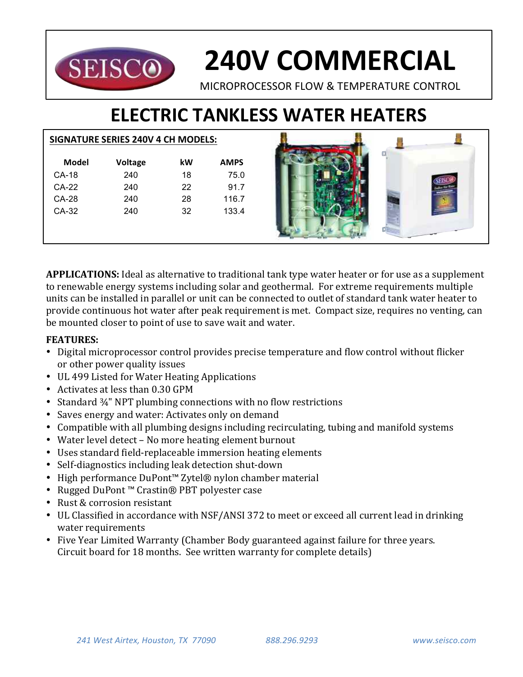

# **240V COMMERCIAL**

MICROPROCESSOR FLOW & TEMPERATURE CONTROL

# **ELECTRIC TANKLESS WATER HEATERS**

## **SIGNATURE SERIES 240V 4 CH MODELS:**

| Model   | <b>Voltage</b> | kW | <b>AMPS</b> |
|---------|----------------|----|-------------|
| CA-18   | 240            | 18 | 75.0        |
| CA-22   | 240            | 22 | 91.7        |
| CA-28   | 240            | 28 | 116.7       |
| $CA-32$ | 240            | 32 | 133.4       |
|         |                |    |             |
|         |                |    |             |



**APPLICATIONS:** Ideal as alternative to traditional tank type water heater or for use as a supplement to renewable energy systems including solar and geothermal. For extreme requirements multiple units can be installed in parallel or unit can be connected to outlet of standard tank water heater to provide continuous hot water after peak requirement is met. Compact size, requires no venting, can be mounted closer to point of use to save wait and water.

# **FEATURES:**

- Digital microprocessor control provides precise temperature and flow control without flicker or other power quality issues
- UL 499 Listed for Water Heating Applications
- Activates at less than 0.30 GPM
- Standard  $\frac{3}{4}$ " NPT plumbing connections with no flow restrictions
- Saves energy and water: Activates only on demand
- Compatible with all plumbing designs including recirculating, tubing and manifold systems
- Water level detect No more heating element burnout
- Uses standard field-replaceable immersion heating elements
- Self-diagnostics including leak detection shut-down
- High performance DuPont™ Zytel® nylon chamber material
- Rugged DuPont™ Crastin® PBT polyester case
- Rust & corrosion resistant
- UL Classified in accordance with NSF/ANSI 372 to meet or exceed all current lead in drinking water requirements
- Five Year Limited Warranty (Chamber Body guaranteed against failure for three years. Circuit board for 18 months. See written warranty for complete details)